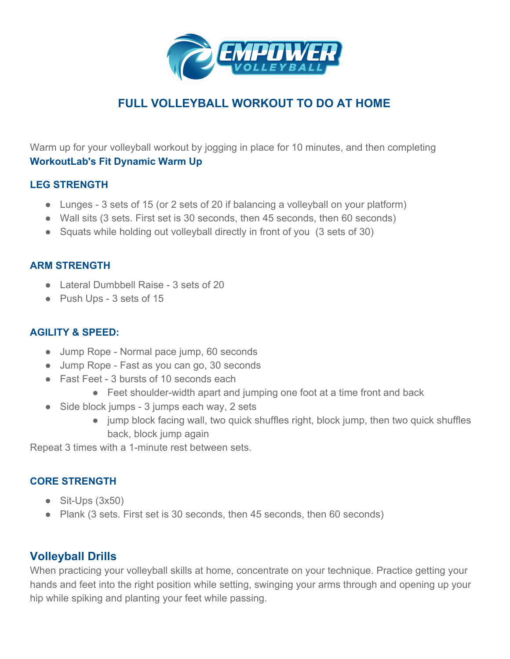

# **FULL VOLLEYBALL WORKOUT TO DO AT HOME**

Warm up for your volleyball workout by jogging in place for 10 minutes, and then completing **[WorkoutLab's Fit Dynamic Warm Up](https://workoutlabs.com/fit/wkt/uPmmO6H/)**

# **LEG STRENGTH**

- Lunges 3 sets of 15 (or 2 sets of 20 if balancing a volleyball on your platform)
- Wall sits (3 sets. First set is 30 seconds, then 45 seconds, then 60 seconds)
- Squats while holding out volleyball directly in front of you (3 sets of 30)

#### **ARM STRENGTH**

- Lateral Dumbbell Raise 3 sets of 20
- Push Ups 3 sets of 15

#### **AGILITY & SPEED:**

- Jump Rope Normal pace jump, 60 seconds
- Jump Rope Fast as you can go, 30 seconds
- Fast Feet 3 bursts of 10 seconds each
	- Feet shoulder-width apart and jumping one foot at a time front and back
- Side block jumps 3 jumps each way, 2 sets
	- jump block facing wall, two quick shuffles right, block jump, then two quick shuffles back, block jump again

Repeat 3 times with a 1-minute rest between sets.

#### **CORE STRENGTH**

- $\bullet$  Sit-Ups (3x50)
- Plank (3 sets. First set is 30 seconds, then 45 seconds, then 60 seconds)

# **Volleyball Drills**

When practicing your volleyball skills at home, concentrate on your technique. Practice getting your hands and feet into the right position while setting, swinging your arms through and opening up your hip while spiking and planting your feet while passing.